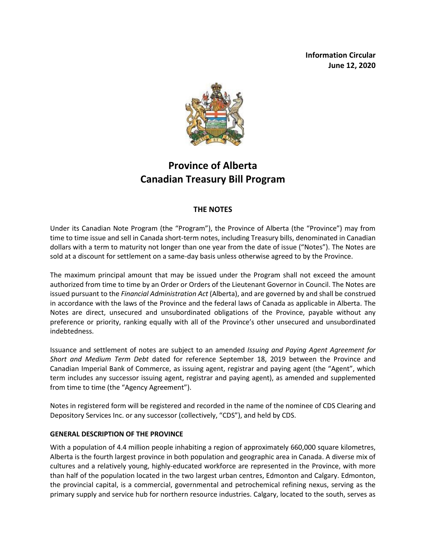**Information Circular June 12, 2020**



# **Province of Alberta Canadian Treasury Bill Program**

## **THE NOTES**

Under its Canadian Note Program (the "Program"), the Province of Alberta (the "Province") may from time to time issue and sell in Canada short-term notes, including Treasury bills, denominated in Canadian dollars with a term to maturity not longer than one year from the date of issue ("Notes"). The Notes are sold at a discount for settlement on a same-day basis unless otherwise agreed to by the Province.

The maximum principal amount that may be issued under the Program shall not exceed the amount authorized from time to time by an Order or Orders of the Lieutenant Governor in Council. The Notes are issued pursuant to the *Financial Administration Act* (Alberta), and are governed by and shall be construed in accordance with the laws of the Province and the federal laws of Canada as applicable in Alberta. The Notes are direct, unsecured and unsubordinated obligations of the Province, payable without any preference or priority, ranking equally with all of the Province's other unsecured and unsubordinated indebtedness.

Issuance and settlement of notes are subject to an amended *Issuing and Paying Agent Agreement for Short and Medium Term Debt* dated for reference September 18, 2019 between the Province and Canadian Imperial Bank of Commerce, as issuing agent, registrar and paying agent (the "Agent", which term includes any successor issuing agent, registrar and paying agent), as amended and supplemented from time to time (the "Agency Agreement").

Notes in registered form will be registered and recorded in the name of the nominee of CDS Clearing and Depository Services Inc. or any successor (collectively, "CDS"), and held by CDS.

### **GENERAL DESCRIPTION OF THE PROVINCE**

With a population of 4.4 million people inhabiting a region of approximately 660,000 square kilometres, Alberta is the fourth largest province in both population and geographic area in Canada. A diverse mix of cultures and a relatively young, highly-educated workforce are represented in the Province, with more than half of the population located in the two largest urban centres, Edmonton and Calgary. Edmonton, the provincial capital, is a commercial, governmental and petrochemical refining nexus, serving as the primary supply and service hub for northern resource industries. Calgary, located to the south, serves as